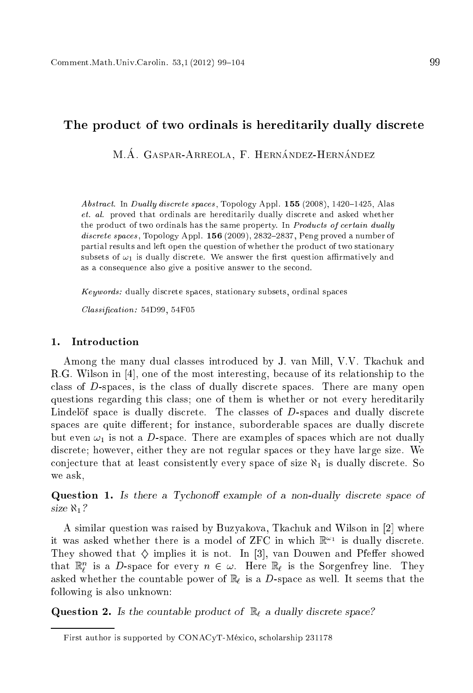# The produ
t of two ordinals is hereditarily dually dis
rete

M.Á. GASPAR-ARREOLA, F. HERNÁNDEZ-HERNÁNDEZ

Abstract. In Dually discrete spaces, Topology Appl.  $155$  (2008), 1420-1425, Alas et. al. proved that ordinals are hereditarily dually dis
rete and asked whether the product of two ordinals has the same property. In Products of certain dually discrete spaces, Topology Appl. 156 (2009), 2832-2837, Peng proved a number of partial results and left open the question of whether the product of two stationary subsets of  $\omega_1$  is dually discrete. We answer the first question affirmatively and as a onsequen
e also give a positive answer to the se
ond.

Keywords: dually discrete spaces, stationary subsets, ordinal spaces

Classification: 54D99, 54F05

### 1. Introduction

Among the many dual classes introduced by J. van Mill, V.V. Tkachuk and R.G. Wilson in  $[4]$ , one of the most interesting, because of its relationship to the class of  $D$ -spaces, is the class of dually discrete spaces. There are many open questions regarding this lass; one of them is whether or not every hereditarily Lindelöf space is dually discrete. The classes of D-spaces and dually discrete spaces are quite different; for instance, suborderable spaces are dually discrete but even  $\omega_1$  is not a D-space. There are examples of spaces which are not dually discrete; however, either they are not regular spaces or they have large size. We conjecture that at least consistently every space of size  $\aleph_1$  is dually discrete. So we ask,

Question 1. Is there a Tychonoff example of a non-dually discrete space of size 1?

A similar question was raised by Buzyakova, Tkachuk and Wilson in [2] where it was asked whether there is a model of  $z_{\rm F}$ C in which  $\mathbb{R}^{n+1}$  is qually discrete. They showed that  $\diamond$  implies it is not. In [3], van Douwen and Pfeffer showed that  $\mathbb{R}_l^n$  is a D-space for every  $n \in \omega$ . Here  $\mathbb{R}_\ell$  is the Sorgenfrey line. They asked whether the countable power of  $\mathbb{R}_{\ell}$  is a D-space as well. It seems that the following is also unknown:

**Question 2.** Is the countable product of  $\mathbb{R}_\ell$  a dually discrete space?

First author is supported by CONACyT-México, scholarship 231178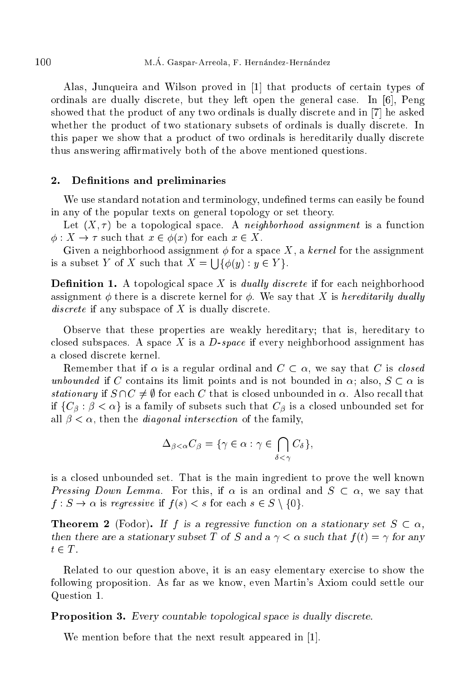Alas, Junqueira and Wilson proved in  $[1]$  that products of certain types of ordinals are dually discrete, but they left open the general case. In  $[6]$ , Peng showed that the product of any two ordinals is dually discrete and in [7] he asked whether the product of two stationary subsets of ordinals is dually discrete. In this paper we show that a product of two ordinals is hereditarily dually discrete thus answering aÆrmatively both of the above mentioned questions.

## 2. Definitions and preliminaries

We use standard notation and terminology, undefined terms can easily be found in any of the popular texts on general topology or set theory.

Let  $(X, \tau)$  be a topological space. A neighborhood assignment is a function  $\phi: X \to \tau$  such that  $x \in \phi(x)$  for each  $x \in X$ .

Given a neighborhood assignment  $\phi$  for a space X, a kernel for the assignment is a subset Y of X such that  $X = \bigcup \{ \phi(y) : y \in Y \}.$ 

**Definition 1.** A topological space X is *dually discrete* if for each neighborhood assignment  $\phi$  there is a discrete kernel for  $\phi$ . We say that X is hereditarily dually discrete if any subspace of X is dually discrete.

Observe that these properties are weakly hereditary; that is, hereditary to closed subspaces. A space  $X$  is a  $D$ -space if every neighborhood assignment has a closed discrete kernel.

Remember that if  $\alpha$  is a regular ordinal and  $C \subset \alpha$ , we say that C is *closed* unbounded if C contains its limit points and is not bounded in  $\alpha$ ; also,  $S \subset \alpha$  is stationary if  $S \cap C \neq \emptyset$  for each C that is closed unbounded in  $\alpha$ . Also recall that if  $\{C_\beta : \beta < \alpha\}$  is a family of subsets such that  $C_\beta$  is a closed unbounded set for all  $\beta < \alpha$ , then the *diagonal intersection* of the family,

$$
\Delta_{\beta < \alpha} C_{\beta} = \{ \gamma \in \alpha : \gamma \in \bigcap_{\delta < \gamma} C_{\delta} \},
$$

is a losed unbounded set. That is the main ingredient to prove the well known *Pressing Down Lemma.* For this, if  $\alpha$  is an ordinal and  $S \subset \alpha$ , we say that  $f : S \to \alpha$  is regressive if  $f(s) < s$  for each  $s \in S \setminus \{0\}.$ 

**Theorem 2** (Fodor). If f is a regressive function on a stationary set  $S \subset \alpha$ , then there are a stationary subset T of S and a  $\gamma < \alpha$  such that  $f(t) = \gamma$  for any  $t \in T$ .

Related to our question above, it is an easy elementary exer
ise to show the following proposition. As far as we know, even Martin's Axiom ould settle our Question 1.

Proposition 3. Every countable topological space is dually discrete.

We mention before that the next result appeared in  $[1]$ .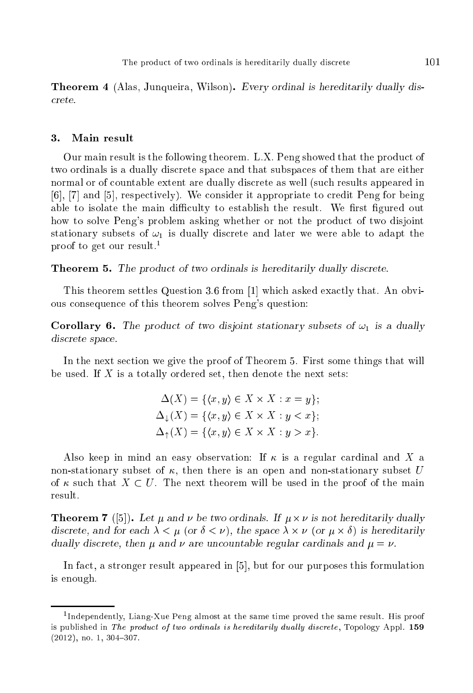Theorem <sup>4</sup> (Alas, Junqueira, Wilson). Every ordinal is hereditarily dually dis rete.

### 3. Main result

Our main result is the following theorem. L.X. Peng showed that the product of two ordinals is a dually dis
rete spa
e and that subspa
es of them that are either normal or of ountable extent are dually dis
rete as well (su
h results appeared in [6], [7] and [5], respectively). We consider it appropriate to credit Peng for being able to isolate the main difficulty to establish the result. We first figured out how to solve Peng's problem asking whether or not the product of two disjoint stationary subsets of  $\omega_1$  is dually discrete and later we were able to adapt the proof to get our result.<sup>1</sup>

**Theorem 5.** The product of two ordinals is hereditarily dually discrete.

This theorem settles Question 3.6 from  $[1]$  which asked exactly that. An obvious onsequen
e of this theorem solves Peng's question:

**Corollary 6.** The product of two disjoint stationary subsets of  $\omega_1$  is a dually dis
rete spa
e.

In the next se
tion we give the proof of Theorem 5. First some things that will be used. If  $X$  is a totally ordered set, then denote the next sets:

$$
\Delta(X) = \{ \langle x, y \rangle \in X \times X : x = y \};
$$
  
\n
$$
\Delta_{\downarrow}(X) = \{ \langle x, y \rangle \in X \times X : y < x \};
$$
  
\n
$$
\Delta_{\uparrow}(X) = \{ \langle x, y \rangle \in X \times X : y > x \}.
$$

Also keep in mind an easy observation: If  $\kappa$  is a regular cardinal and X a non-stationary subset of  $\kappa$ , then there is an open and non-stationary subset U of  $\kappa$  such that  $X \subset U$ . The next theorem will be used in the proof of the main result

**Theorem** *T* ([5]). Let  $\mu$  and  $\nu$  be two ordinals. If  $\mu \times \nu$  is not hereditarily dually discrete, and for each  $\lambda < \mu$  (or  $\delta < \nu$ ), the space  $\lambda \times \nu$  (or  $\mu \times \delta$ ) is hereditarily dually discrete, then  $\mu$  and  $\nu$  are uncountable regular cardinals and  $\mu = \nu$ .

In fact, a stronger result appeared in [5], but for our purposes this formulation is enough.

<sup>1</sup> Independently, Liang-Xue Peng almost at the same time proved the same result. His proof is published in The product of two ordinals is hereditarily dually discrete, Topology Appl. 159  $(2012)$ , no. 1, 304-307.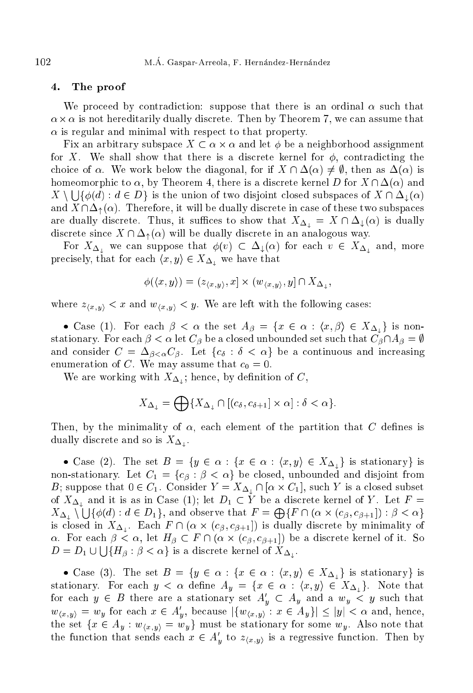#### 4. The proof

We proceed by contradiction: suppose that there is an ordinal  $\alpha$  such that  $\alpha\times\alpha$  is not hereditarily dually discrete. Then by Theorem 7, we can assume that  $\alpha$  is regular and minimal with respect to that property.

Fix an arbitrary subspace  $X \subset \alpha \times \alpha$  and let  $\phi$  be a neighborhood assignment for X. We shall show that there is a discrete kernel for  $\phi$ , contradicting the choice of  $\alpha$ . We work below the diagonal, for if  $X \cap \Delta(\alpha) \neq \emptyset$ , then as  $\Delta(\alpha)$  is homeomorphic to  $\alpha$ , by Theorem 4, there is a discrete kernel D for  $X \cap \Delta(\alpha)$  and  $X \setminus \bigcup \{\phi(d) : d \in D\}$  is the union of two disjoint closed subspaces of  $X \cap \Delta_{\downarrow}(\alpha)$ and  $X \cap \Delta_{\uparrow}(\alpha)$ . Therefore, it will be dually discrete in case of these two subspaces are dually discrete. Thus, it suffices to show that  $X_{\Delta_+} = X \cap \Delta_+(\alpha)$  is dually discrete since  $X \cap \Delta_{\uparrow}(\alpha)$  will be dually discrete in an analogous way.

For  $X_{\Delta_1}$  we can suppose that  $\phi(v) \subset \Delta_1(\alpha)$  for each  $v \in X_{\Delta_1}$  and, more precisely, that for each  $\langle x, y \rangle \in X_{\Delta}$  we have that

$$
\phi(\langle x, y \rangle) = (z_{\langle x, y \rangle}, x] \times (w_{\langle x, y \rangle}, y] \cap X_{\Delta_{\perp}},
$$

where  $z_{\langle x,y \rangle} < x$  and  $w_{\langle x,y \rangle} < y$ . We are left with the following cases:

• Case (1). For each  $\beta < \alpha$  the set  $A_{\beta} = \{x \in \alpha : \langle x, \beta \rangle \in X_{\Delta_{\perp}}\}$  is nonstationary. For each  $\beta < \alpha$  let  $C_{\beta}$  be a closed unbounded set such that  $C_{\beta} \cap A_{\beta} = \emptyset$ and consider  $C = \Delta_{\beta < \alpha} C_{\beta}$ . Let  $\{c_{\delta} : \delta < \alpha\}$  be a continuous and increasing enumeration of C. We may assume that  $c_0 = 0$ .

We are working with  $X_{\Delta_i}$ ; hence, by definition of C,

$$
X_{\Delta_{\downarrow}} = \bigoplus \{ X_{\Delta_{\downarrow}} \cap [(c_{\delta}, c_{\delta+1}] \times \alpha] : \delta < \alpha \}.
$$

Then, by the minimality of  $\alpha$ , each element of the partition that C defines is dually discrete and so is  $X_{\Delta_{\perp}}$ .

• Case (2). The set  $B = \{y \in \alpha : \{x \in \alpha : \langle x, y \rangle \in X_{\Delta} \}$  is stationary is non-stationary. Let  $C_1 = \{c_\beta : \beta < \alpha\}$  be closed, unbounded and disjoint from B; suppose that  $0 \in C_1$ . Consider  $Y = X_{\Delta_1} \cap [\alpha \times C_1]$ , such Y is a closed subset of  $X_{\Delta_{\perp}}$  and it is as in Case (1); let  $D_1 \subset Y$  be a discrete kernel of Y. Let  $F =$  $X_{\Delta_\perp} \setminus \bigcup \{\phi(d) : d \in D_1\},\$  and observe that  $F = \bigoplus \{F \cap (\alpha \times (c_\beta, c_{\beta+1}]): \beta < \alpha\}$ is closed in  $X_{\Delta_{\mu}}$ . Each  $F \cap (\alpha \times (c_{\beta}, c_{\beta+1}))$  is dually discrete by minimality of  $\alpha$ . For each  $\beta < \alpha$ , let  $H_{\beta} \subset F \cap (\alpha \times (c_{\beta}, c_{\beta+1}) )$  be a discrete kernel of it. So  $D = D_1 \cup \bigcup \{ H_\beta : \beta < \alpha \}$  is a discrete kernel of  $X_{\Delta_1}$ .

• Case (3). The set  $B = \{y \in \alpha : \{x \in \alpha : \langle x, y \rangle \in X_{\Delta} \}$  is stationary is stationary. For each  $y < \alpha$  define  $A_y = \{x \in \alpha : \langle x, y \rangle \in X_{\Delta} \}$ . Note that for each  $y \in B$  there are a stationary set  $A'_y \subset A_y$  and a  $w_y \lt y$  such that  $w_{\langle x,y\rangle} = w_y$  for each  $x \in A'_y$ , because  $|\{w_{\langle x,y\rangle} : x \in A_y\}| \leq |y| < \alpha$  and, hence, the set  $\{x \in A_y : w_{\langle x,y \rangle} = w_y\}$  must be stationary for some  $w_y$ . Also note that the function that sends each  $x \in A'_y$  to  $z_{(x,y)}$  is a regressive function. Then by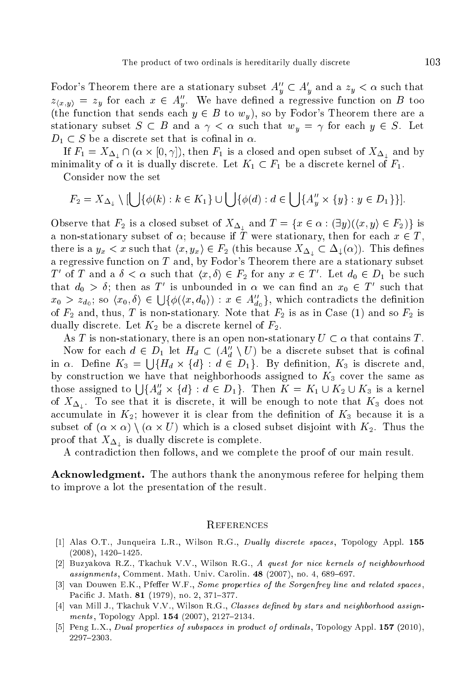Fodor's Theorem there are a stationary subset  $A''_y \subset A'_y$  and a  $z_y < \alpha$  such that  $z_{\langle x,y\rangle} = z_y$  for each  $x \in A''_y$ . We have defined a regressive function on B too (the function that sends each  $y \in B$  to  $w_y$ ), so by Fodor's Theorem there are a stationary subset  $S \subset B$  and a  $\gamma < \alpha$  such that  $w_y = \gamma$  for each  $y \in S$ . Let  $D_1 \subset S$  be a discrete set that is cofinal in  $\alpha$ .

If  $F_1 = X_{\Delta_\perp} \cap (\alpha \times [0, \gamma])$ , then  $F_1$  is a closed and open subset of  $X_{\Delta_\perp}$  and by minimality of  $\alpha$  it is dually discrete. Let  $K_1 \subset F_1$  be a discrete kernel of  $F_1$ .

Consider now the set

$$
F_2 = X_{\Delta_\downarrow} \setminus [\bigcup \{\phi(k) : k \in K_1\} \cup \bigcup \{\phi(d) : d \in \bigcup \{A''_y \times \{y\} : y \in D_1\}\}].
$$

Observe that  $F_2$  is a closed subset of  $X_{\Delta_\perp}$  and  $T = \{x \in \alpha : (\exists y)(\langle x, y \rangle \in F_2)\}\$ is a non-stationary subset of  $\alpha$ ; because if T were stationary, then for each  $x \in T$ , there is a  $y_x < x$  such that  $\langle x, y_x \rangle \in F_2$  (this because  $X_{\Delta} \subset \Delta_{\perp}(\alpha)$ ). This defines a regressive fun
tion on T and, by Fodor's Theorem there are a stationary subset T' of T and a  $\delta < \alpha$  such that  $\langle x, \delta \rangle \in F_2$  for any  $x \in T'$ . Let  $d_0 \in D_1$  be such that  $d_0 > \delta$ ; then as T' is unbounded in  $\alpha$  we can find an  $x_0 \in T'$  such that  $x_0 > z_{d_0}$ ; so  $\langle x_0, \delta \rangle \in \bigcup \{\phi(\langle x, d_0 \rangle) : x \in A_{d_0}''\},$  which contradicts the definition of  $F_2$  and, thus, T is non-stationary. Note that  $F_2$  is as in Case (1) and so  $F_2$  is dually discrete. Let  $K_2$  be a discrete kernel of  $F_2$ .

As T is non-stationary, there is an open non-stationary  $U \subset \alpha$  that contains T.

Now for each  $d \in D_1$  let  $H_d \subset (A''_d \setminus U)$  be a discrete subset that is cofinal in  $\alpha$ . Define  $K_3 = \bigcup \{ H_d \times \{ d \} : d \in D_1 \}$ . By definition,  $K_3$  is discrete and, by construction we have that neighborhoods assigned to  $K_3$  cover the same as those assigned to  $\bigcup \{A''_d \times \{d\} : d \in D_1\}$ . Then  $K = K_1 \cup K_2 \cup K_3$  is a kernel of  $X_{\Delta_1}$ . To see that it is discrete, it will be enough to note that  $K_3$  does not accumulate in  $K_2$ ; however it is clear from the definition of  $K_3$  because it is a subset of  $(\alpha \times \alpha) \setminus (\alpha \times U)$  which is a closed subset disjoint with  $K_2$ . Thus the proof that  $X_{\Delta_{\perp}}$  is dually discrete is complete.

A ontradi
tion then follows, and we omplete the proof of our main result.

**Acknowledgment.** The authors thank the anonymous referee for helping them to improve a lot the presentation of the result.

#### **REFERENCES**

- [1] Alas O.T., Junqueira L.R., Wilson R.G., *Dually discrete spaces*, Topology Appl. 155  $(2008), 1420 - 1425.$
- [2] Buzyakova R.Z., Tkachuk V.V., Wilson R.G., A quest for nice kernels of neighbourhood  $assignments$ , Comment. Math. Univ. Carolin. 48 (2007), no. 4, 689-697.
- [3] van Douwen E.K., Pfeffer W.F., Some properties of the Sorgenfrey line and related spaces, Pacific J. Math. 81 (1979), no. 2, 371-377.
- [4] van Mill J., Tkachuk V.V., Wilson R.G., Classes defined by stars and neighborhood assignments, Topology Appl.  $154$  (2007), 2127-2134.
- [5] Peng L.X., Dual properties of subspaces in product of ordinals, Topology Appl.  $157$  (2010), 2297-2303.